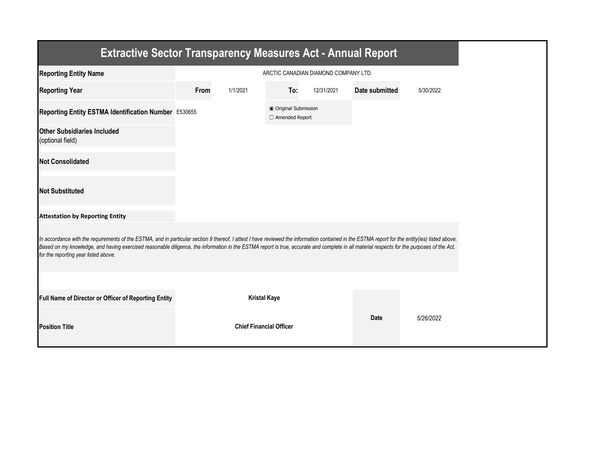| <b>Extractive Sector Transparency Measures Act - Annual Report</b>                                                                                                                                                                                                                                                                                                                                                                    |                                      |                                |                                           |            |                |           |  |  |  |
|---------------------------------------------------------------------------------------------------------------------------------------------------------------------------------------------------------------------------------------------------------------------------------------------------------------------------------------------------------------------------------------------------------------------------------------|--------------------------------------|--------------------------------|-------------------------------------------|------------|----------------|-----------|--|--|--|
| <b>Reporting Entity Name</b>                                                                                                                                                                                                                                                                                                                                                                                                          | ARCTIC CANADIAN DIAMOND COMPANY LTD. |                                |                                           |            |                |           |  |  |  |
| <b>Reporting Year</b>                                                                                                                                                                                                                                                                                                                                                                                                                 | From                                 | 1/1/2021                       | To:                                       | 12/31/2021 | Date submitted | 5/30/2022 |  |  |  |
| Reporting Entity ESTMA Identification Number E530655                                                                                                                                                                                                                                                                                                                                                                                  |                                      |                                | ● Original Submission<br>○ Amended Report |            |                |           |  |  |  |
| <b>Other Subsidiaries Included</b><br>(optional field)                                                                                                                                                                                                                                                                                                                                                                                |                                      |                                |                                           |            |                |           |  |  |  |
| <b>Not Consolidated</b>                                                                                                                                                                                                                                                                                                                                                                                                               |                                      |                                |                                           |            |                |           |  |  |  |
| <b>Not Substituted</b>                                                                                                                                                                                                                                                                                                                                                                                                                |                                      |                                |                                           |            |                |           |  |  |  |
| <b>Attestation by Reporting Entity</b>                                                                                                                                                                                                                                                                                                                                                                                                |                                      |                                |                                           |            |                |           |  |  |  |
| In accordance with the requirements of the ESTMA, and in particular section 9 thereof, I attest I have reviewed the information contained in the ESTMA report for the entity(ies) listed above.<br>Based on my knowledge, and having exercised reasonable diligence, the information in the ESTMA report is true, accurate and complete in all material respects for the purposes of the Act,<br>for the reporting year listed above. |                                      |                                |                                           |            |                |           |  |  |  |
|                                                                                                                                                                                                                                                                                                                                                                                                                                       |                                      |                                |                                           |            |                |           |  |  |  |
| Full Name of Director or Officer of Reporting Entity                                                                                                                                                                                                                                                                                                                                                                                  |                                      | <b>Kristal Kaye</b>            |                                           |            |                |           |  |  |  |
| <b>Position Title</b>                                                                                                                                                                                                                                                                                                                                                                                                                 |                                      | <b>Chief Financial Officer</b> |                                           |            | <b>Date</b>    | 5/26/2022 |  |  |  |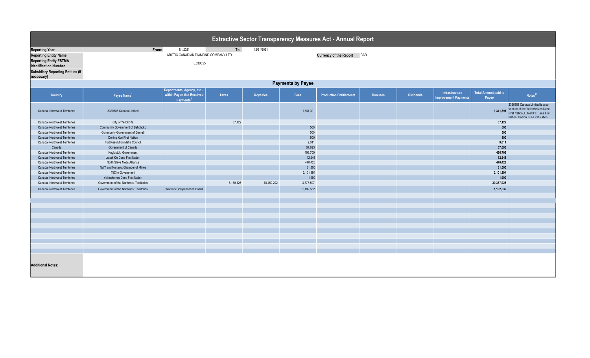| Extractive Sector Transparency Measures Act - Annual Report                                                                                                        |                                         |                                                             |              |                  |           |                                |                |                  |                                               |                               |                                                                                                                                               |  |
|--------------------------------------------------------------------------------------------------------------------------------------------------------------------|-----------------------------------------|-------------------------------------------------------------|--------------|------------------|-----------|--------------------------------|----------------|------------------|-----------------------------------------------|-------------------------------|-----------------------------------------------------------------------------------------------------------------------------------------------|--|
| <b>Reporting Year</b><br><b>Reporting Entity Name</b><br><b>Reporting Entity ESTMA</b><br><b>Identification Number</b><br><b>Subsidiary Reporting Entities (if</b> | From:                                   | 1/1/2021<br>ARCTIC CANADIAN DIAMOND COMPANY LTD.<br>E530655 | To:          | 12/31/2021       |           | Currency of the Report CAD     |                |                  |                                               |                               |                                                                                                                                               |  |
| necessary)<br><b>Payments by Payee</b>                                                                                                                             |                                         |                                                             |              |                  |           |                                |                |                  |                                               |                               |                                                                                                                                               |  |
| Departments, Agency, etc                                                                                                                                           |                                         |                                                             |              |                  |           |                                |                |                  |                                               |                               |                                                                                                                                               |  |
| Country                                                                                                                                                            | Payee Name <sup>1</sup>                 | within Payee that Received<br>Payments <sup>2</sup>         | <b>Taxes</b> | <b>Royalties</b> | Fees      | <b>Production Entitlements</b> | <b>Bonuses</b> | <b>Dividends</b> | Infrastructure<br><b>Improvement Payments</b> | Total Amount paid to<br>Payee | Notes <sup>34</sup>                                                                                                                           |  |
| Canada -Northwest Territories                                                                                                                                      | 3320588 Canada Limited                  |                                                             |              |                  | 1,341,391 |                                |                |                  |                                               | 1,341,391                     | 3320588 Canada Limited is a co-<br>venture of the Yellowknives Dene<br>First Nation, Lutsel K'E Dene First<br>Nation, Deninu Kue First Nation |  |
| Canada -Northwest Territories                                                                                                                                      | City of Yelloknife                      |                                                             | 37,122       |                  |           |                                |                |                  |                                               | 37,122                        |                                                                                                                                               |  |
| Canada -Northwest Territories                                                                                                                                      | Community Government of Behchoko        |                                                             |              |                  | 500       |                                |                |                  |                                               | 500                           |                                                                                                                                               |  |
| Canada -Northwest Territories                                                                                                                                      | Community Government of Gameti          |                                                             |              |                  | 500       |                                |                |                  |                                               | 500                           |                                                                                                                                               |  |
| Canada -Northwest Territories                                                                                                                                      | Deninu Kue First Nation                 |                                                             |              |                  | 500       |                                |                |                  |                                               | 500                           |                                                                                                                                               |  |
| Canada -Northwest Territories                                                                                                                                      | Fort Resolution Metis Council           |                                                             |              |                  | 9,011     |                                |                |                  |                                               | 9,011                         |                                                                                                                                               |  |
| Canada                                                                                                                                                             | Government of Canada                    |                                                             |              |                  | 57,693    |                                |                |                  |                                               | 57,693                        |                                                                                                                                               |  |
| Canada -Northwest Territories                                                                                                                                      | Kugluktuk Government                    |                                                             |              |                  | 496,709   |                                |                |                  |                                               | 496,709                       |                                                                                                                                               |  |
| Canada -Northwest Territories                                                                                                                                      | Lutsel K'e Dene First Nation            |                                                             |              |                  | 12,246    |                                |                |                  |                                               | 12,246                        |                                                                                                                                               |  |
| Canada -Northwest Territories                                                                                                                                      | North Slave Metis Alliance              |                                                             |              |                  | 470,428   |                                |                |                  |                                               | 470,428                       |                                                                                                                                               |  |
| Canada -Northwest Territories                                                                                                                                      | NWT and Nunavut Chamber of Mines        |                                                             |              |                  | 31,500    |                                |                |                  |                                               | 31,500                        |                                                                                                                                               |  |
| Canada -Northwest Territories                                                                                                                                      | <b>TliCho Government</b>                |                                                             |              |                  | 2,101,394 |                                |                |                  |                                               | 2,101,394                     |                                                                                                                                               |  |
| Canada -Northwest Territories                                                                                                                                      | Yellowknives Dene First Nation          |                                                             |              |                  | 1,990     |                                |                |                  |                                               | 1,990                         |                                                                                                                                               |  |
| Canada -Northwest Territories                                                                                                                                      | Government of the Northwest Territories |                                                             | 8,130,126    | 18,450,202       | 3,777,597 |                                |                |                  |                                               | 30,357,925                    |                                                                                                                                               |  |
| Canada -Northwest Territories                                                                                                                                      | Government of the Northwest Territories | <b>Workers Compensation Board</b>                           |              |                  | 1,192,532 |                                |                |                  |                                               | 1,192,532                     |                                                                                                                                               |  |
|                                                                                                                                                                    |                                         |                                                             |              |                  |           |                                |                |                  |                                               |                               |                                                                                                                                               |  |
|                                                                                                                                                                    |                                         |                                                             |              |                  |           |                                |                |                  |                                               |                               |                                                                                                                                               |  |
|                                                                                                                                                                    |                                         |                                                             |              |                  |           |                                |                |                  |                                               |                               |                                                                                                                                               |  |
|                                                                                                                                                                    |                                         |                                                             |              |                  |           |                                |                |                  |                                               |                               |                                                                                                                                               |  |
|                                                                                                                                                                    |                                         |                                                             |              |                  |           |                                |                |                  |                                               |                               |                                                                                                                                               |  |
|                                                                                                                                                                    |                                         |                                                             |              |                  |           |                                |                |                  |                                               |                               |                                                                                                                                               |  |
|                                                                                                                                                                    |                                         |                                                             |              |                  |           |                                |                |                  |                                               |                               |                                                                                                                                               |  |
|                                                                                                                                                                    |                                         |                                                             |              |                  |           |                                |                |                  |                                               |                               |                                                                                                                                               |  |
|                                                                                                                                                                    |                                         |                                                             |              |                  |           |                                |                |                  |                                               |                               |                                                                                                                                               |  |
|                                                                                                                                                                    |                                         |                                                             |              |                  |           |                                |                |                  |                                               |                               |                                                                                                                                               |  |
|                                                                                                                                                                    |                                         |                                                             |              |                  |           |                                |                |                  |                                               |                               |                                                                                                                                               |  |
|                                                                                                                                                                    |                                         |                                                             |              |                  |           |                                |                |                  |                                               |                               |                                                                                                                                               |  |
| <b>Additional Notes:</b>                                                                                                                                           |                                         |                                                             |              |                  |           |                                |                |                  |                                               |                               |                                                                                                                                               |  |